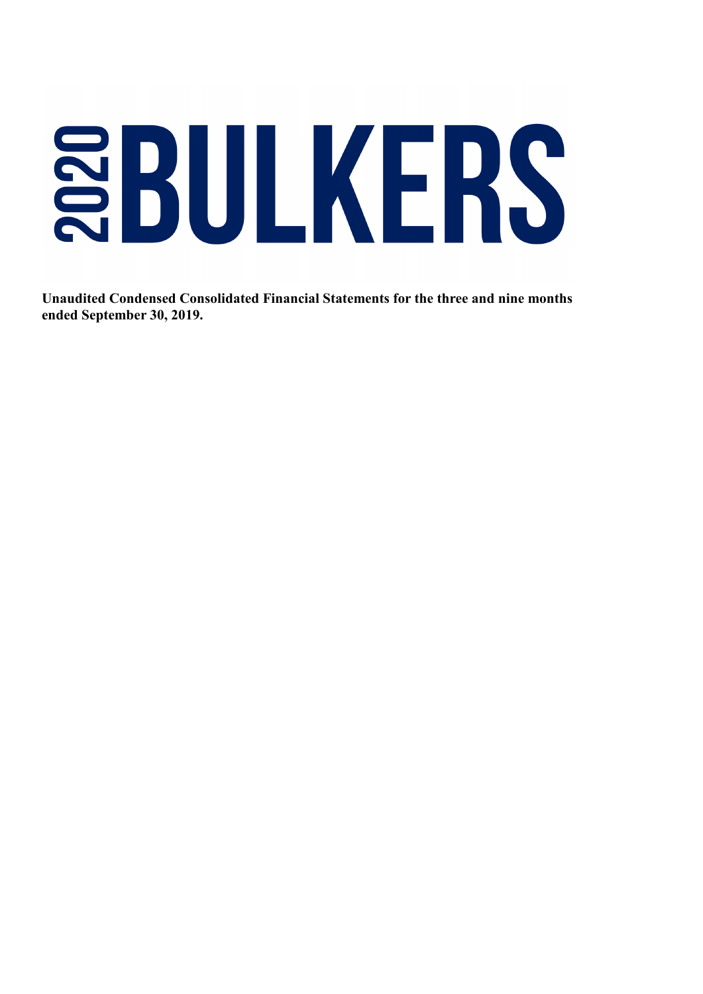# **SBULKERS**

**Unaudited Condensed Consolidated Financial Statements for the three and nine months ended September 30, 2019.**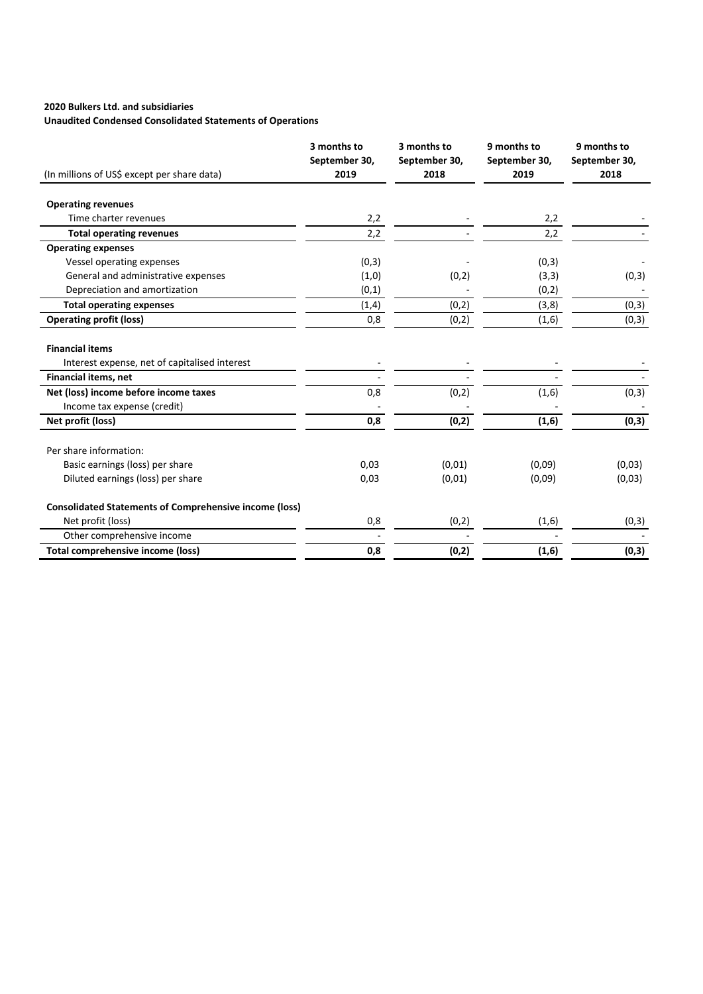## **2020 Bulkers Ltd. and subsidiaries**

# **Unaudited Condensed Consolidated Statements of Operations**

|                                                               | 3 months to<br>September 30, | 3 months to<br>September 30, | 9 months to<br>September 30, | 9 months to<br>September 30, |
|---------------------------------------------------------------|------------------------------|------------------------------|------------------------------|------------------------------|
| (In millions of US\$ except per share data)                   | 2019                         | 2018                         | 2019                         | 2018                         |
| <b>Operating revenues</b>                                     |                              |                              |                              |                              |
| Time charter revenues                                         | 2,2                          |                              | 2,2                          |                              |
| <b>Total operating revenues</b>                               | 2,2                          |                              | 2,2                          |                              |
| <b>Operating expenses</b>                                     |                              |                              |                              |                              |
| Vessel operating expenses                                     | (0,3)                        |                              | (0,3)                        |                              |
| General and administrative expenses                           | (1,0)                        | (0, 2)                       | (3,3)                        | (0,3)                        |
| Depreciation and amortization                                 | (0,1)                        |                              | (0, 2)                       |                              |
| <b>Total operating expenses</b>                               | (1,4)                        | (0, 2)                       | (3, 8)                       | (0,3)                        |
| <b>Operating profit (loss)</b>                                | 0,8                          | (0,2)                        | (1,6)                        | (0,3)                        |
|                                                               |                              |                              |                              |                              |
| <b>Financial items</b>                                        |                              |                              |                              |                              |
| Interest expense, net of capitalised interest                 |                              |                              |                              |                              |
| <b>Financial items, net</b>                                   |                              |                              |                              |                              |
| Net (loss) income before income taxes                         | 0,8                          | (0, 2)                       | (1,6)                        | (0,3)                        |
| Income tax expense (credit)                                   |                              |                              |                              |                              |
| Net profit (loss)                                             | 0,8                          | (0,2)                        | (1,6)                        | (0,3)                        |
| Per share information:                                        |                              |                              |                              |                              |
| Basic earnings (loss) per share                               | 0,03                         | (0,01)                       | (0,09)                       | (0,03)                       |
| Diluted earnings (loss) per share                             | 0,03                         | (0,01)                       | (0,09)                       | (0,03)                       |
| <b>Consolidated Statements of Comprehensive income (loss)</b> |                              |                              |                              |                              |
| Net profit (loss)                                             | 0,8                          | (0, 2)                       | (1,6)                        | (0, 3)                       |
| Other comprehensive income                                    |                              |                              |                              |                              |
| <b>Total comprehensive income (loss)</b>                      | 0,8                          | (0,2)                        | (1,6)                        | (0,3)                        |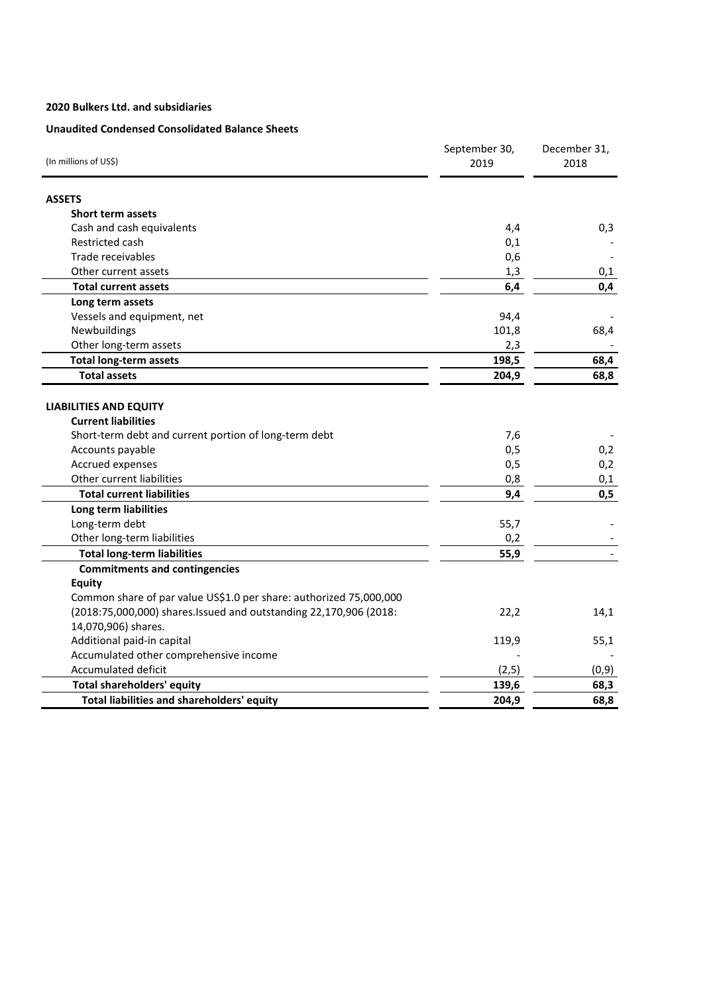## **2020 Bulkers Ltd. and subsidiaries**

# **Unaudited Condensed Consolidated Balance Sheets**

| (In millions of US\$)                                              | September 30,<br>2019 | December 31,<br>2018 |
|--------------------------------------------------------------------|-----------------------|----------------------|
| <b>ASSETS</b>                                                      |                       |                      |
| <b>Short term assets</b>                                           |                       |                      |
| Cash and cash equivalents                                          | 4,4                   | 0,3                  |
| Restricted cash                                                    | 0,1                   |                      |
| Trade receivables                                                  | 0,6                   |                      |
| Other current assets                                               | 1,3                   | 0,1                  |
| <b>Total current assets</b>                                        | 6,4                   | 0,4                  |
| Long term assets                                                   |                       |                      |
| Vessels and equipment, net                                         | 94,4                  |                      |
| Newbuildings                                                       | 101,8                 | 68,4                 |
| Other long-term assets                                             | 2,3                   |                      |
| <b>Total long-term assets</b>                                      | 198,5                 | 68,4                 |
| <b>Total assets</b>                                                | 204,9                 | 68,8                 |
| <b>LIABILITIES AND EQUITY</b><br><b>Current liabilities</b>        |                       |                      |
| Short-term debt and current portion of long-term debt              | 7,6                   |                      |
| Accounts payable                                                   | 0,5                   | 0,2                  |
| Accrued expenses                                                   | 0,5                   | 0,2                  |
| Other current liabilities                                          | 0,8                   | 0,1                  |
| <b>Total current liabilities</b>                                   | 9,4                   | 0,5                  |
| Long term liabilities                                              |                       |                      |
| Long-term debt                                                     | 55,7                  |                      |
| Other long-term liabilities<br><b>Total long-term liabilities</b>  | 0,2<br>55,9           |                      |
| <b>Commitments and contingencies</b>                               |                       |                      |
| <b>Equity</b>                                                      |                       |                      |
| Common share of par value US\$1.0 per share: authorized 75,000,000 |                       |                      |
| (2018:75,000,000) shares.Issued and outstanding 22,170,906 (2018:  | 22,2                  | 14,1                 |
| 14,070,906) shares.                                                |                       |                      |
| Additional paid-in capital                                         | 119,9                 | 55,1                 |
| Accumulated other comprehensive income                             |                       |                      |
| Accumulated deficit                                                | (2,5)                 | (0,9)                |
| <b>Total shareholders' equity</b>                                  | 139,6                 | 68,3                 |
| Total liabilities and shareholders' equity                         | 204,9                 | 68,8                 |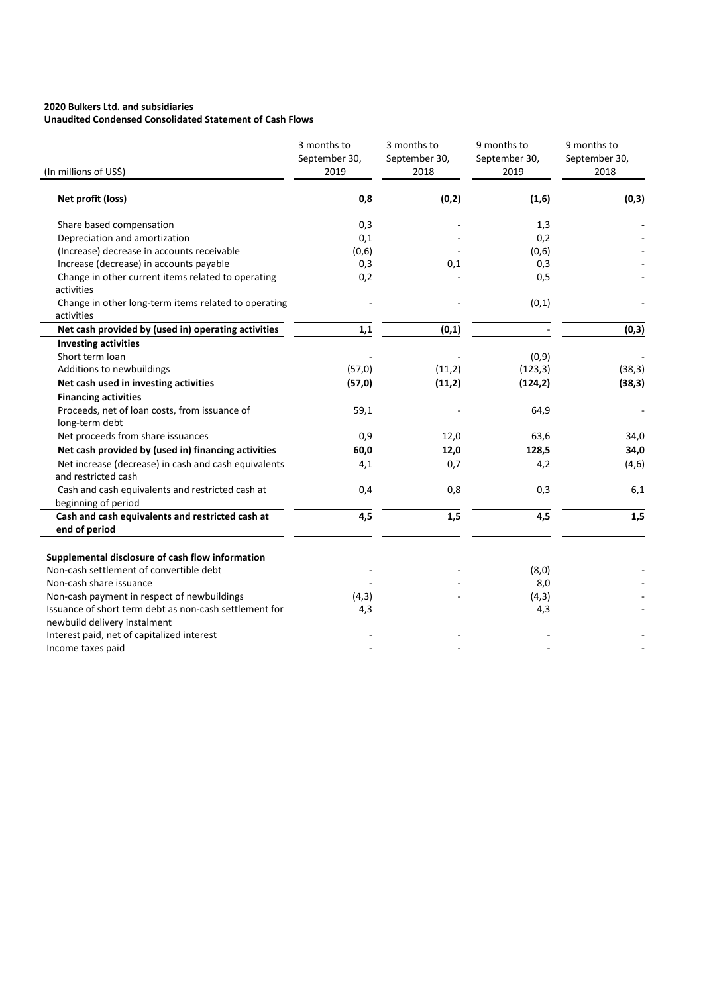#### **2020 Bulkers Ltd. and subsidiaries Unaudited Condensed Consolidated Statement of Cash Flows**

| (In millions of US\$)                                                                                                                                                 | 3 months to<br>September 30,<br>2019 | 3 months to<br>September 30,<br>2018 | 9 months to<br>September 30,<br>2019 | 9 months to<br>September 30,<br>2018 |
|-----------------------------------------------------------------------------------------------------------------------------------------------------------------------|--------------------------------------|--------------------------------------|--------------------------------------|--------------------------------------|
| Net profit (loss)                                                                                                                                                     | 0,8                                  | (0, 2)                               | (1, 6)                               | (0,3)                                |
| Share based compensation                                                                                                                                              | 0,3                                  |                                      | 1,3                                  |                                      |
| Depreciation and amortization                                                                                                                                         | 0,1                                  |                                      | 0,2                                  |                                      |
| (Increase) decrease in accounts receivable                                                                                                                            | (0,6)                                |                                      | (0,6)                                |                                      |
| Increase (decrease) in accounts payable                                                                                                                               | 0,3                                  | 0,1                                  | 0,3                                  |                                      |
| Change in other current items related to operating<br>activities                                                                                                      | 0,2                                  |                                      | 0,5                                  |                                      |
| Change in other long-term items related to operating<br>activities                                                                                                    |                                      |                                      | (0, 1)                               |                                      |
| Net cash provided by (used in) operating activities                                                                                                                   | 1,1                                  | (0, 1)                               |                                      | (0,3)                                |
| <b>Investing activities</b>                                                                                                                                           |                                      |                                      |                                      |                                      |
| Short term loan                                                                                                                                                       |                                      |                                      | (0, 9)                               |                                      |
| Additions to newbuildings                                                                                                                                             | (57, 0)                              | (11,2)                               | (123, 3)                             | (38, 3)                              |
| Net cash used in investing activities                                                                                                                                 | (57, 0)                              | (11,2)                               | (124, 2)                             | (38, 3)                              |
| <b>Financing activities</b>                                                                                                                                           |                                      |                                      |                                      |                                      |
| Proceeds, net of loan costs, from issuance of                                                                                                                         | 59,1                                 |                                      | 64,9                                 |                                      |
| long-term debt                                                                                                                                                        |                                      |                                      |                                      |                                      |
| Net proceeds from share issuances                                                                                                                                     | 0,9                                  | 12,0                                 | 63,6                                 | 34,0                                 |
| Net cash provided by (used in) financing activities                                                                                                                   | 60,0                                 | 12,0                                 | 128,5                                | 34,0                                 |
| Net increase (decrease) in cash and cash equivalents<br>and restricted cash                                                                                           | 4,1                                  | 0,7                                  | 4,2                                  | (4, 6)                               |
| Cash and cash equivalents and restricted cash at<br>beginning of period                                                                                               | 0,4                                  | 0,8                                  | 0,3                                  | 6,1                                  |
| Cash and cash equivalents and restricted cash at<br>end of period                                                                                                     | 4,5                                  | 1,5                                  | 4,5                                  | 1,5                                  |
| Supplemental disclosure of cash flow information<br>Non-cash settlement of convertible debt<br>Non-cash share issuance<br>Non-cash payment in respect of newbuildings | (4,3)                                |                                      | (8,0)<br>8,0<br>(4, 3)               |                                      |
| Issuance of short term debt as non-cash settlement for<br>newbuild delivery instalment<br>Interest paid, net of capitalized interest<br>Income taxes paid             | 4,3                                  |                                      | 4,3                                  |                                      |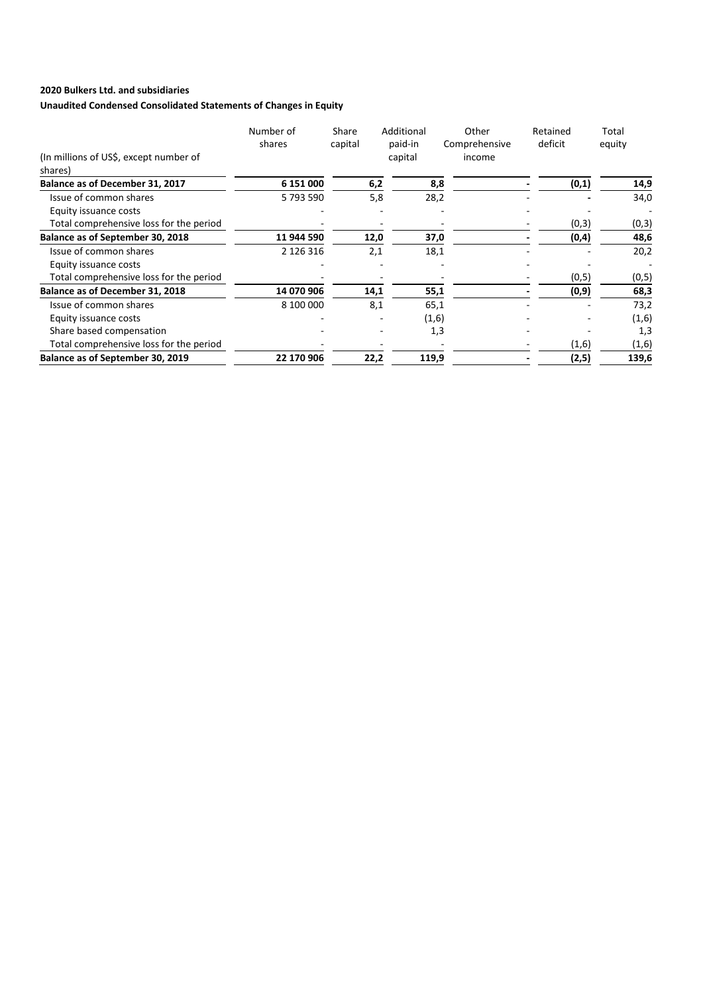# **2020 Bulkers Ltd. and subsidiaries**

# **Unaudited Condensed Consolidated Statements of Changes in Equity**

|                                                   | Number of<br>shares | Share<br>capital | Additional<br>paid-in | Other<br>Comprehensive | Retained<br>deficit | Total<br>equity |
|---------------------------------------------------|---------------------|------------------|-----------------------|------------------------|---------------------|-----------------|
| (In millions of US\$, except number of<br>shares) |                     |                  | capital               | income                 |                     |                 |
| Balance as of December 31, 2017                   | 6 151 000           | 6,2              | 8,8                   |                        | (0,1)               | 14,9            |
| Issue of common shares                            | 5793590             | 5,8              | 28,2                  |                        |                     | 34,0            |
| Equity issuance costs                             |                     |                  |                       |                        |                     |                 |
| Total comprehensive loss for the period           |                     |                  |                       |                        | (0,3)               | (0,3)           |
| Balance as of September 30, 2018                  | 11 944 590          | 12,0             | 37,0                  |                        | (0, 4)              | 48,6            |
| Issue of common shares                            | 2 126 316           | 2,1              | 18,1                  |                        |                     | 20,2            |
| Equity issuance costs                             |                     |                  |                       |                        |                     |                 |
| Total comprehensive loss for the period           |                     |                  |                       |                        | (0, 5)              | (0,5)           |
| Balance as of December 31, 2018                   | 14 070 906          | 14,1             | 55,1                  |                        | (0, 9)              | 68,3            |
| Issue of common shares                            | 8 100 000           | 8,1              | 65,1                  |                        |                     | 73,2            |
| Equity issuance costs                             |                     |                  | (1,6)                 |                        |                     | (1,6)           |
| Share based compensation                          |                     |                  | 1,3                   |                        |                     | 1,3             |
| Total comprehensive loss for the period           |                     |                  |                       |                        | (1,6)               | (1,6)           |
| Balance as of September 30, 2019                  | 22 170 906          | 22,2             | 119,9                 |                        | (2,5)               | 139,6           |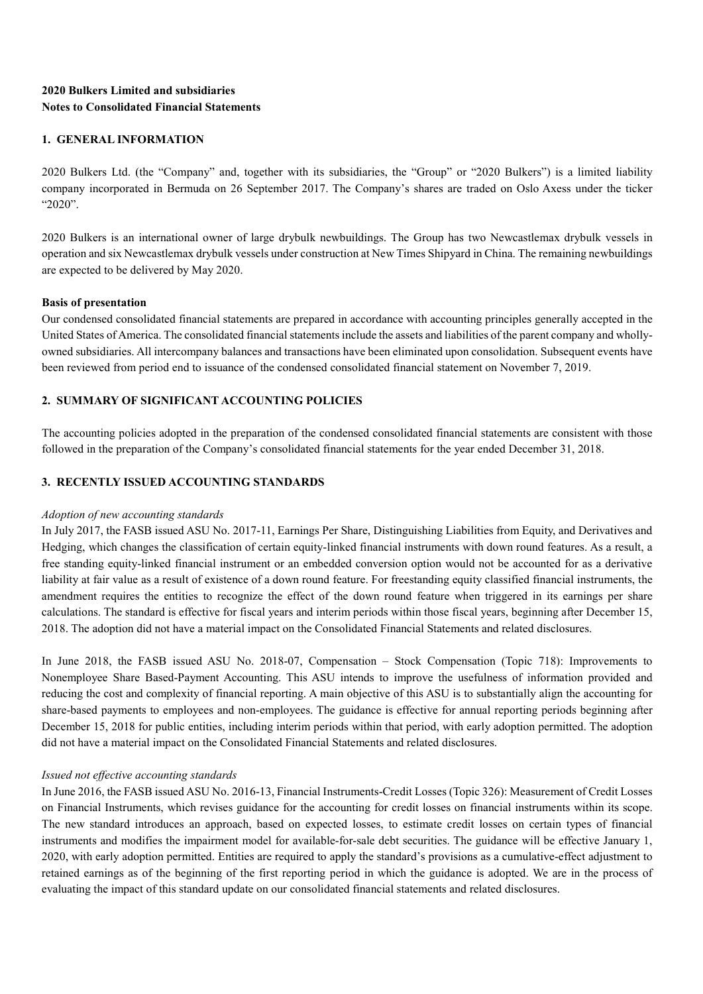# **2020 Bulkers Limited and subsidiaries Notes to Consolidated Financial Statements**

## **1. GENERAL INFORMATION**

2020 Bulkers Ltd. (the "Company" and, together with its subsidiaries, the "Group" or "2020 Bulkers") is a limited liability company incorporated in Bermuda on 26 September 2017. The Company's shares are traded on Oslo Axess under the ticker "2020".

2020 Bulkers is an international owner of large drybulk newbuildings. The Group has two Newcastlemax drybulk vessels in operation and six Newcastlemax drybulk vessels under construction at New Times Shipyard in China. The remaining newbuildings are expected to be delivered by May 2020.

## **Basis of presentation**

Our condensed consolidated financial statements are prepared in accordance with accounting principles generally accepted in the United States of America. The consolidated financial statements include the assets and liabilities of the parent company and whollyowned subsidiaries. All intercompany balances and transactions have been eliminated upon consolidation. Subsequent events have been reviewed from period end to issuance of the condensed consolidated financial statement on November 7, 2019.

# **2. SUMMARY OF SIGNIFICANT ACCOUNTING POLICIES**

The accounting policies adopted in the preparation of the condensed consolidated financial statements are consistent with those followed in the preparation of the Company's consolidated financial statements for the year ended December 31, 2018.

## **3. RECENTLY ISSUED ACCOUNTING STANDARDS**

## *Adoption of new accounting standards*

In July 2017, the FASB issued ASU No. 2017-11, Earnings Per Share, Distinguishing Liabilities from Equity, and Derivatives and Hedging, which changes the classification of certain equity-linked financial instruments with down round features. As a result, a free standing equity-linked financial instrument or an embedded conversion option would not be accounted for as a derivative liability at fair value as a result of existence of a down round feature. For freestanding equity classified financial instruments, the amendment requires the entities to recognize the effect of the down round feature when triggered in its earnings per share calculations. The standard is effective for fiscal years and interim periods within those fiscal years, beginning after December 15, 2018. The adoption did not have a material impact on the Consolidated Financial Statements and related disclosures.

In June 2018, the FASB issued ASU No. 2018-07, Compensation – Stock Compensation (Topic 718): Improvements to Nonemployee Share Based-Payment Accounting. This ASU intends to improve the usefulness of information provided and reducing the cost and complexity of financial reporting. A main objective of this ASU is to substantially align the accounting for share-based payments to employees and non-employees. The guidance is effective for annual reporting periods beginning after December 15, 2018 for public entities, including interim periods within that period, with early adoption permitted. The adoption did not have a material impact on the Consolidated Financial Statements and related disclosures.

## *Issued not effective accounting standards*

In June 2016, the FASB issued ASU No. 2016-13, Financial Instruments-Credit Losses (Topic 326): Measurement of Credit Losses on Financial Instruments, which revises guidance for the accounting for credit losses on financial instruments within its scope. The new standard introduces an approach, based on expected losses, to estimate credit losses on certain types of financial instruments and modifies the impairment model for available-for-sale debt securities. The guidance will be effective January 1, 2020, with early adoption permitted. Entities are required to apply the standard's provisions as a cumulative-effect adjustment to retained earnings as of the beginning of the first reporting period in which the guidance is adopted. We are in the process of evaluating the impact of this standard update on our consolidated financial statements and related disclosures.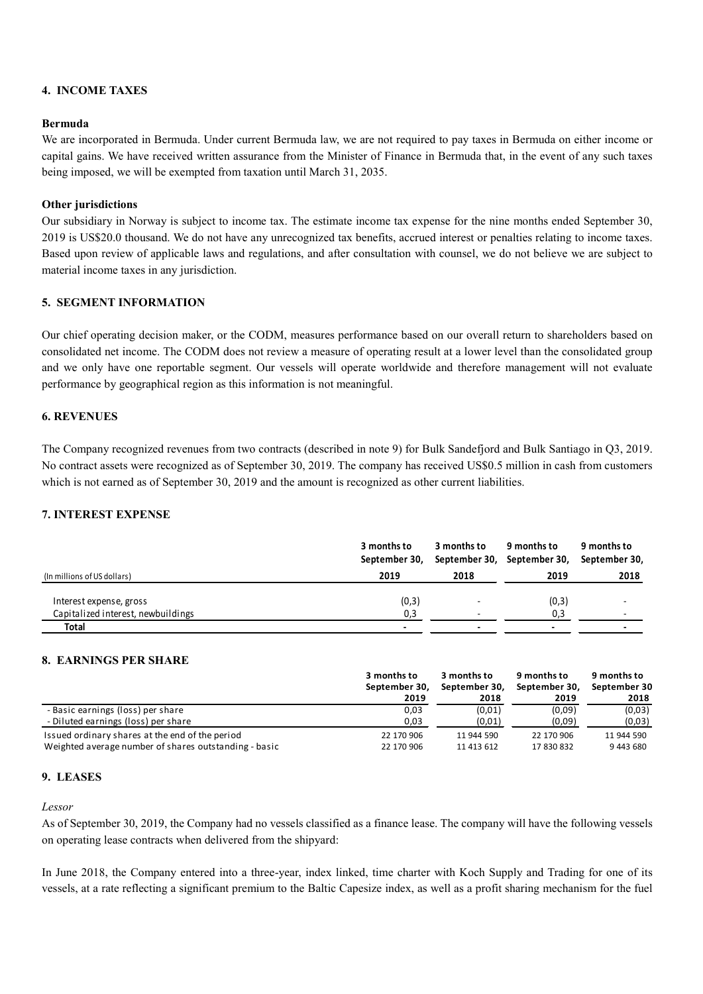## **4. INCOME TAXES**

## **Bermuda**

We are incorporated in Bermuda. Under current Bermuda law, we are not required to pay taxes in Bermuda on either income or capital gains. We have received written assurance from the Minister of Finance in Bermuda that, in the event of any such taxes being imposed, we will be exempted from taxation until March 31, 2035.

## **Other jurisdictions**

Our subsidiary in Norway is subject to income tax. The estimate income tax expense for the nine months ended September 30, 2019 is US\$20.0 thousand. We do not have any unrecognized tax benefits, accrued interest or penalties relating to income taxes. Based upon review of applicable laws and regulations, and after consultation with counsel, we do not believe we are subject to material income taxes in any jurisdiction.

## **5. SEGMENT INFORMATION**

Our chief operating decision maker, or the CODM, measures performance based on our overall return to shareholders based on consolidated net income. The CODM does not review a measure of operating result at a lower level than the consolidated group and we only have one reportable segment. Our vessels will operate worldwide and therefore management will not evaluate performance by geographical region as this information is not meaningful.

## **6. REVENUES**

The Company recognized revenues from two contracts (described in note 9) for Bulk Sandefjord and Bulk Santiago in Q3, 2019. No contract assets were recognized as of September 30, 2019. The company has received US\$0.5 million in cash from customers which is not earned as of September 30, 2019 and the amount is recognized as other current liabilities.

# **7. INTEREST EXPENSE**

|                                                               | 3 months to<br>September 30, | 3 months to | 9 months to<br>September 30, September 30, | 9 months to<br>September 30, |
|---------------------------------------------------------------|------------------------------|-------------|--------------------------------------------|------------------------------|
| (In millions of US dollars)                                   | 2019                         | 2018        | 2019                                       | 2018                         |
| Interest expense, gross<br>Capitalized interest, newbuildings | (0,3)<br>0,3                 |             | (0,3)<br>0,3                               |                              |
| Total                                                         |                              |             | $\overline{\phantom{0}}$                   |                              |

## **8. EARNINGS PER SHARE**

|                                                       | 3 months to   | 3 months to<br>9 months to | 9 months to   |              |
|-------------------------------------------------------|---------------|----------------------------|---------------|--------------|
|                                                       | September 30. | September 30.              | September 30. | September 30 |
|                                                       | 2019          | 2018                       | 2019          | 2018         |
| - Basic earnings (loss) per share                     | 0,03          | (0.01)                     | (0,09)        | (0,03)       |
| - Diluted earnings (loss) per share                   | 0,03          | (0,01)                     | (0,09)        | (0,03)       |
| Issued ordinary shares at the end of the period       | 22 170 906    | 11 944 590                 | 22 170 906    | 11 944 590   |
| Weighted average number of shares outstanding - basic | 22 170 906    | 11 413 612                 | 17 830 832    | 9 443 680    |

### **9. LEASES**

### *Lessor*

As of September 30, 2019, the Company had no vessels classified as a finance lease. The company will have the following vessels on operating lease contracts when delivered from the shipyard:

In June 2018, the Company entered into a three-year, index linked, time charter with Koch Supply and Trading for one of its vessels, at a rate reflecting a significant premium to the Baltic Capesize index, as well as a profit sharing mechanism for the fuel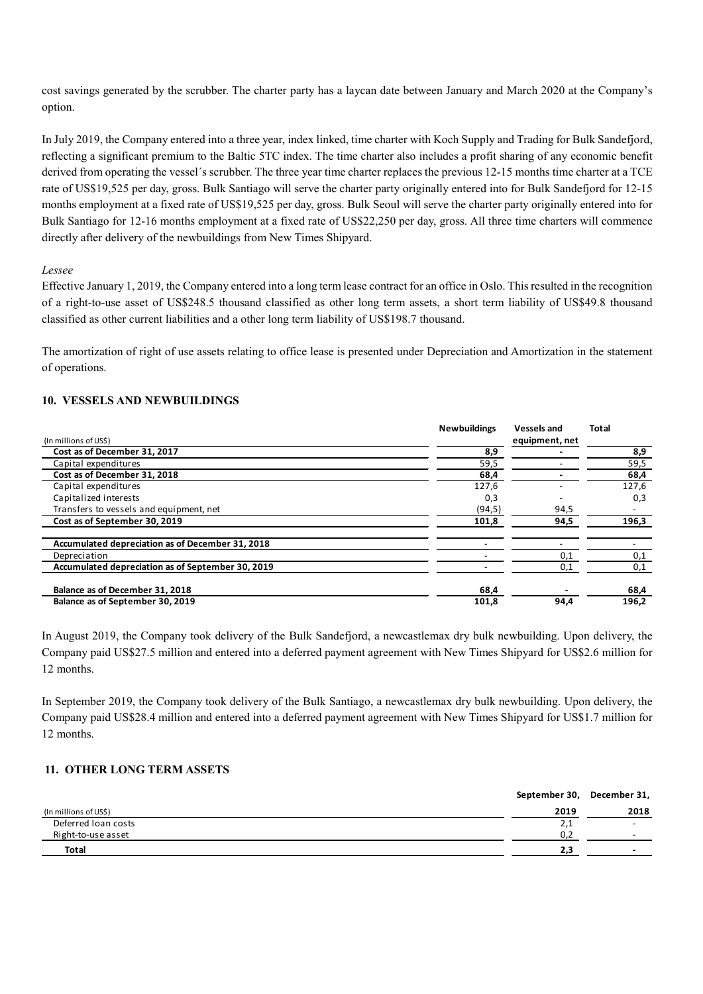cost savings generated by the scrubber. The charter party has a laycan date between January and March 2020 at the Company's option.

In July 2019, the Company entered into a three year, index linked, time charter with Koch Supply and Trading for Bulk Sandefjord, reflecting a significant premium to the Baltic 5TC index. The time charter also includes a profit sharing of any economic benefit derived from operating the vessel's scrubber. The three year time charter replaces the previous 12-15 months time charter at a TCE rate of US\$19,525 per day, gross. Bulk Santiago will serve the charter party originally entered into for Bulk Sandefjord for 12-15 months employment at a fixed rate of US\$19,525 per day, gross. Bulk Seoul will serve the charter party originally entered into for Bulk Santiago for 12-16 months employment at a fixed rate of US\$22,250 per day, gross. All three time charters will commence directly after delivery of the newbuildings from New Times Shipyard.

## *Lessee*

Effective January 1, 2019, the Company entered into a long term lease contract for an office in Oslo. This resulted in the recognition of a right-to-use asset of US\$248.5 thousand classified as other long term assets, a short term liability of US\$49.8 thousand classified as other current liabilities and a other long term liability of US\$198.7 thousand.

The amortization of right of use assets relating to office lease is presented under Depreciation and Amortization in the statement of operations.

# **10. VESSELS AND NEWBUILDINGS**

|                                                   | <b>Newbuildings</b> | <b>Vessels and</b> | <b>Total</b> |
|---------------------------------------------------|---------------------|--------------------|--------------|
| (In millions of US\$)                             |                     | equipment, net     |              |
| Cost as of December 31, 2017                      | 8,9                 |                    | 8,9          |
| Capital expenditures                              | 59,5                |                    | 59,5         |
| Cost as of December 31, 2018                      | 68,4                |                    | 68,4         |
| Capital expenditures                              | 127,6               |                    | 127,6        |
| Capitalized interests                             | 0,3                 |                    | 0,3          |
| Transfers to vessels and equipment, net           | (94, 5)             | 94,5               |              |
| Cost as of September 30, 2019                     | 101,8               | 94,5               | 196,3        |
| Accumulated depreciation as of December 31, 2018  |                     |                    |              |
| Depreciation                                      |                     | 0,1                | 0,1          |
| Accumulated depreciation as of September 30, 2019 |                     | 0,1                | 0,1          |
| Balance as of December 31, 2018                   | 68,4                |                    | 68,4         |
| Balance as of September 30, 2019                  | 101,8               | 94,4               | 196,2        |

In August 2019, the Company took delivery of the Bulk Sandefjord, a newcastlemax dry bulk newbuilding. Upon delivery, the Company paid US\$27.5 million and entered into a deferred payment agreement with New Times Shipyard for US\$2.6 million for 12 months.

In September 2019, the Company took delivery of the Bulk Santiago, a newcastlemax dry bulk newbuilding. Upon delivery, the Company paid US\$28.4 million and entered into a deferred payment agreement with New Times Shipyard for US\$1.7 million for 12 months.

# **11. OTHER LONG TERM ASSETS**

|                       | September 30, | December 31,             |
|-----------------------|---------------|--------------------------|
| (In millions of US\$) | 2019          | 2018                     |
| Deferred Ioan costs   | 2,1           | $\overline{\phantom{0}}$ |
| Right-to-use asset    | 0,2           | $\overline{\phantom{0}}$ |
| <b>Total</b>          | 2.3           | $\overline{\phantom{0}}$ |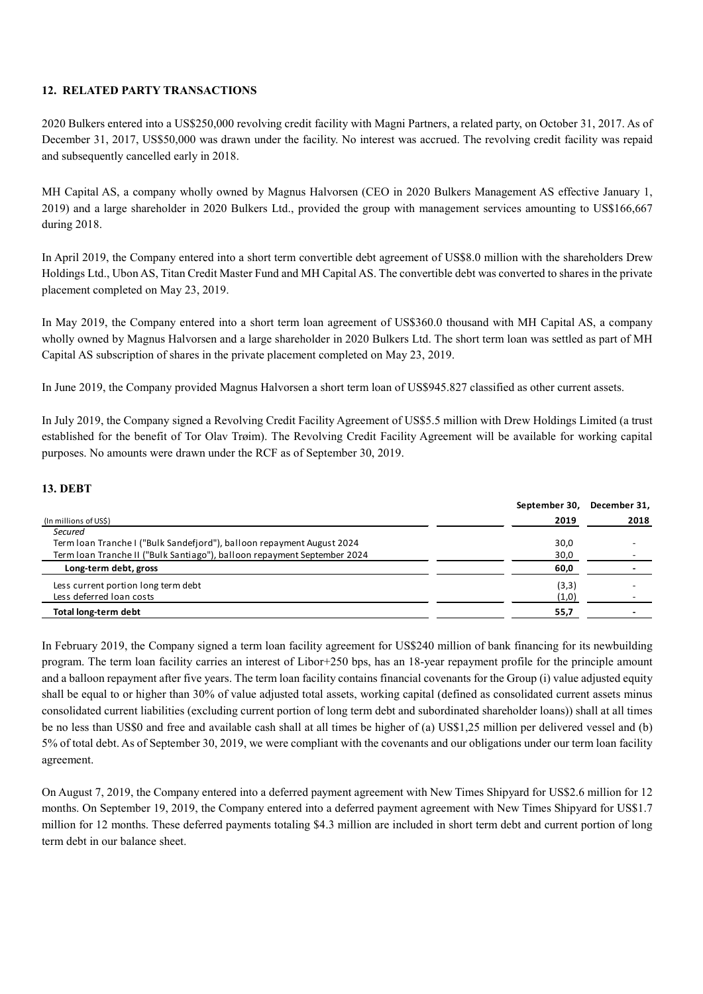## **12. RELATED PARTY TRANSACTIONS**

2020 Bulkers entered into a US\$250,000 revolving credit facility with Magni Partners, a related party, on October 31, 2017. As of December 31, 2017, US\$50,000 was drawn under the facility. No interest was accrued. The revolving credit facility was repaid and subsequently cancelled early in 2018.

MH Capital AS, a company wholly owned by Magnus Halvorsen (CEO in 2020 Bulkers Management AS effective January 1, 2019) and a large shareholder in 2020 Bulkers Ltd., provided the group with management services amounting to US\$166,667 during 2018.

In April 2019, the Company entered into a short term convertible debt agreement of US\$8.0 million with the shareholders Drew Holdings Ltd., Ubon AS, Titan Credit Master Fund and MH Capital AS. The convertible debt was converted to shares in the private placement completed on May 23, 2019.

In May 2019, the Company entered into a short term loan agreement of US\$360.0 thousand with MH Capital AS, a company wholly owned by Magnus Halvorsen and a large shareholder in 2020 Bulkers Ltd. The short term loan was settled as part of MH Capital AS subscription of shares in the private placement completed on May 23, 2019.

In June 2019, the Company provided Magnus Halvorsen a short term loan of US\$945.827 classified as other current assets.

In July 2019, the Company signed a Revolving Credit Facility Agreement of US\$5.5 million with Drew Holdings Limited (a trust established for the benefit of Tor Olav Trøim). The Revolving Credit Facility Agreement will be available for working capital purposes. No amounts were drawn under the RCF as of September 30, 2019.

# **13. DEBT**

|                                                                          | September 30, | December 31, |
|--------------------------------------------------------------------------|---------------|--------------|
| (In millions of US\$)                                                    | 2019          | 2018         |
| Secured                                                                  |               |              |
| Term Ioan Tranche I ("Bulk Sandefjord"), balloon repayment August 2024   | 30,0          |              |
| Term Ioan Tranche II ("Bulk Santiago"), balloon repayment September 2024 | 30,0          |              |
| Long-term debt, gross                                                    | 60,0          |              |
| Less current portion long term debt                                      | (3,3)         |              |
| Less deferred loan costs                                                 | (1,0)         |              |
| Total long-term debt                                                     | 55,7          |              |

In February 2019, the Company signed a term loan facility agreement for US\$240 million of bank financing for its newbuilding program. The term loan facility carries an interest of Libor+250 bps, has an 18-year repayment profile for the principle amount and a balloon repayment after five years. The term loan facility contains financial covenants for the Group (i) value adjusted equity shall be equal to or higher than 30% of value adjusted total assets, working capital (defined as consolidated current assets minus consolidated current liabilities (excluding current portion of long term debt and subordinated shareholder loans)) shall at all times be no less than US\$0 and free and available cash shall at all times be higher of (a) US\$1,25 million per delivered vessel and (b) 5% of total debt. As of September 30, 2019, we were compliant with the covenants and our obligations under our term loan facility agreement.

On August 7, 2019, the Company entered into a deferred payment agreement with New Times Shipyard for US\$2.6 million for 12 months. On September 19, 2019, the Company entered into a deferred payment agreement with New Times Shipyard for US\$1.7 million for 12 months. These deferred payments totaling \$4.3 million are included in short term debt and current portion of long term debt in our balance sheet.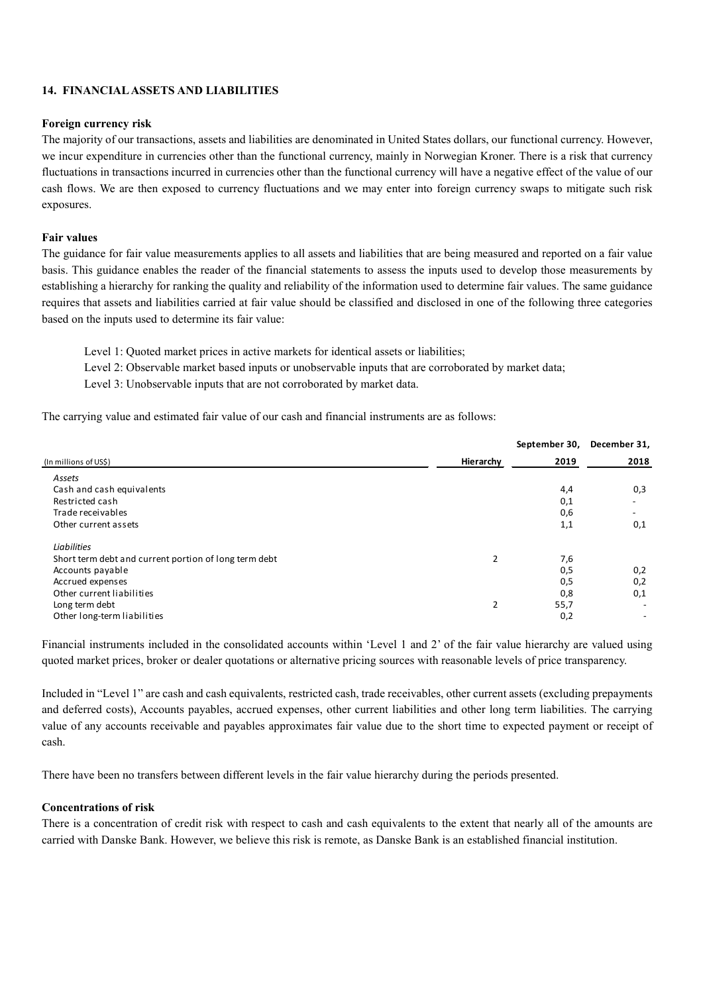## **14. FINANCIAL ASSETS AND LIABILITIES**

## **Foreign currency risk**

The majority of our transactions, assets and liabilities are denominated in United States dollars, our functional currency. However, we incur expenditure in currencies other than the functional currency, mainly in Norwegian Kroner. There is a risk that currency fluctuations in transactions incurred in currencies other than the functional currency will have a negative effect of the value of our cash flows. We are then exposed to currency fluctuations and we may enter into foreign currency swaps to mitigate such risk exposures.

#### **Fair values**

The guidance for fair value measurements applies to all assets and liabilities that are being measured and reported on a fair value basis. This guidance enables the reader of the financial statements to assess the inputs used to develop those measurements by establishing a hierarchy for ranking the quality and reliability of the information used to determine fair values. The same guidance requires that assets and liabilities carried at fair value should be classified and disclosed in one of the following three categories based on the inputs used to determine its fair value:

Level 1: Quoted market prices in active markets for identical assets or liabilities;

Level 2: Observable market based inputs or unobservable inputs that are corroborated by market data;

Level 3: Unobservable inputs that are not corroborated by market data.

The carrying value and estimated fair value of our cash and financial instruments are as follows:

|                                                       |                | September 30, | December 31,             |
|-------------------------------------------------------|----------------|---------------|--------------------------|
| (In millions of US\$)                                 | Hierarchy      | 2019          | 2018                     |
| Assets                                                |                |               |                          |
| Cash and cash equivalents                             |                | 4,4           | 0,3                      |
| Restricted cash                                       |                | 0,1           | $\overline{\phantom{a}}$ |
| Trade receivables                                     |                | 0,6           | $\overline{\phantom{a}}$ |
| Other current assets                                  |                | 1,1           | 0,1                      |
| Liabilities                                           |                |               |                          |
| Short term debt and current portion of long term debt | $\overline{2}$ | 7,6           |                          |
| Accounts payable                                      |                | 0,5           | 0,2                      |
| Accrued expenses                                      |                | 0,5           | 0,2                      |
| Other current liabilities                             |                | 0,8           | 0,1                      |
| Long term debt                                        | 2              | 55,7          | $\overline{\phantom{0}}$ |
| Other long-term liabilities                           |                | 0,2           |                          |

Financial instruments included in the consolidated accounts within 'Level 1 and 2' of the fair value hierarchy are valued using quoted market prices, broker or dealer quotations or alternative pricing sources with reasonable levels of price transparency.

Included in "Level 1" are cash and cash equivalents, restricted cash, trade receivables, other current assets (excluding prepayments and deferred costs), Accounts payables, accrued expenses, other current liabilities and other long term liabilities. The carrying value of any accounts receivable and payables approximates fair value due to the short time to expected payment or receipt of cash.

There have been no transfers between different levels in the fair value hierarchy during the periods presented.

## **Concentrations of risk**

There is a concentration of credit risk with respect to cash and cash equivalents to the extent that nearly all of the amounts are carried with Danske Bank. However, we believe this risk is remote, as Danske Bank is an established financial institution.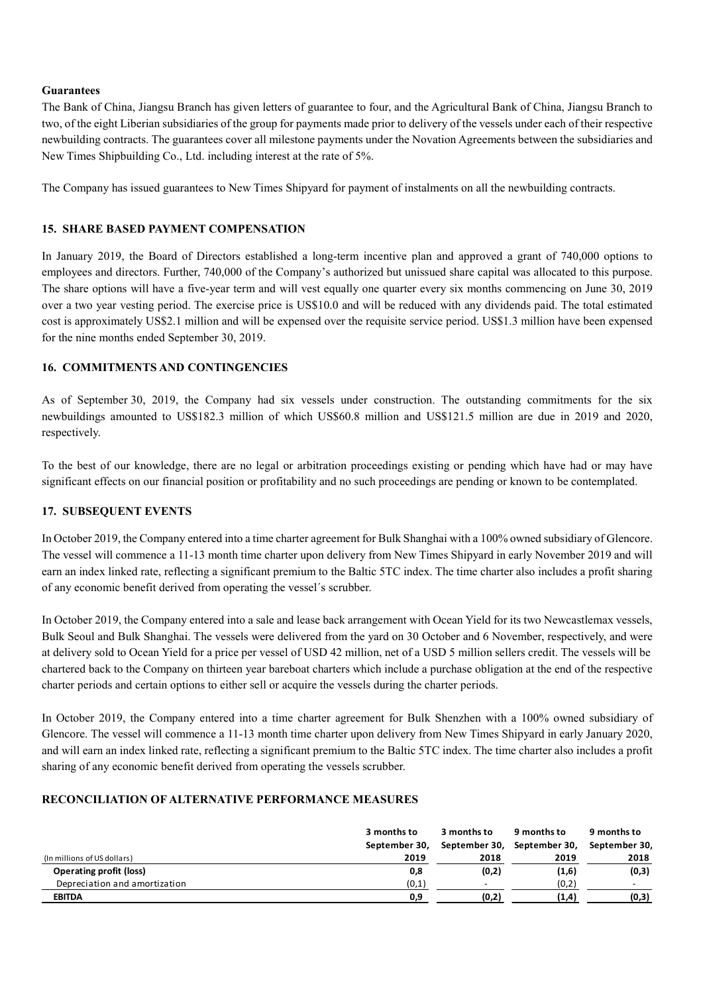## **Guarantees**

The Bank of China, Jiangsu Branch has given letters of guarantee to four, and the Agricultural Bank of China, Jiangsu Branch to two, of the eight Liberian subsidiaries of the group for payments made prior to delivery of the vessels under each of their respective newbuilding contracts. The guarantees cover all milestone payments under the Novation Agreements between the subsidiaries and New Times Shipbuilding Co., Ltd. including interest at the rate of 5%.

The Company has issued guarantees to New Times Shipyard for payment of instalments on all the newbuilding contracts.

## **15. SHARE BASED PAYMENT COMPENSATION**

In January 2019, the Board of Directors established a long-term incentive plan and approved a grant of 740,000 options to employees and directors. Further, 740,000 of the Company's authorized but unissued share capital was allocated to this purpose. The share options will have a five-year term and will vest equally one quarter every six months commencing on June 30, 2019 over a two year vesting period. The exercise price is US\$10.0 and will be reduced with any dividends paid. The total estimated cost is approximately US\$2.1 million and will be expensed over the requisite service period. US\$1.3 million have been expensed for the nine months ended September 30, 2019.

# **16. COMMITMENTS AND CONTINGENCIES**

As of September 30, 2019, the Company had six vessels under construction. The outstanding commitments for the six newbuildings amounted to US\$182.3 million of which US\$60.8 million and US\$121.5 million are due in 2019 and 2020, respectively.

To the best of our knowledge, there are no legal or arbitration proceedings existing or pending which have had or may have significant effects on our financial position or profitability and no such proceedings are pending or known to be contemplated.

## **17. SUBSEQUENT EVENTS**

In October 2019, the Company entered into a time charter agreement for Bulk Shanghai with a 100% owned subsidiary of Glencore. The vessel will commence a 11-13 month time charter upon delivery from New Times Shipyard in early November 2019 and will earn an index linked rate, reflecting a significant premium to the Baltic 5TC index. The time charter also includes a profit sharing of any economic benefit derived from operating the vessel´s scrubber.

In October 2019, the Company entered into a sale and lease back arrangement with Ocean Yield for its two Newcastlemax vessels, Bulk Seoul and Bulk Shanghai. The vessels were delivered from the yard on 30 October and 6 November, respectively, and were at delivery sold to Ocean Yield for a price per vessel of USD 42 million, net of a USD 5 million sellers credit. The vessels will be chartered back to the Company on thirteen year bareboat charters which include a purchase obligation at the end of the respective charter periods and certain options to either sell or acquire the vessels during the charter periods.

In October 2019, the Company entered into a time charter agreement for Bulk Shenzhen with a 100% owned subsidiary of Glencore. The vessel will commence a 11-13 month time charter upon delivery from New Times Shipyard in early January 2020, and will earn an index linked rate, reflecting a significant premium to the Baltic 5TC index. The time charter also includes a profit sharing of any economic benefit derived from operating the vessels scrubber.

## **RECONCILIATION OF ALTERNATIVE PERFORMANCE MEASURES**

|                                | 3 months to   | 3 months to              | 9 months to   | 9 months to              |
|--------------------------------|---------------|--------------------------|---------------|--------------------------|
|                                | September 30. | September 30,            | September 30, | September 30,            |
| (In millions of US dollars)    | 2019          | 2018                     | 2019          | 2018                     |
| <b>Operating profit (loss)</b> | 0,8           | (0,2)                    | (1,6)         | (0,3)                    |
| Depreciation and amortization  | (0,1)         | $\overline{\phantom{a}}$ | (0,2)         | $\overline{\phantom{a}}$ |
| <b>EBITDA</b>                  | 0,9           | (0,2)                    | (1,4)         | (0,3)                    |